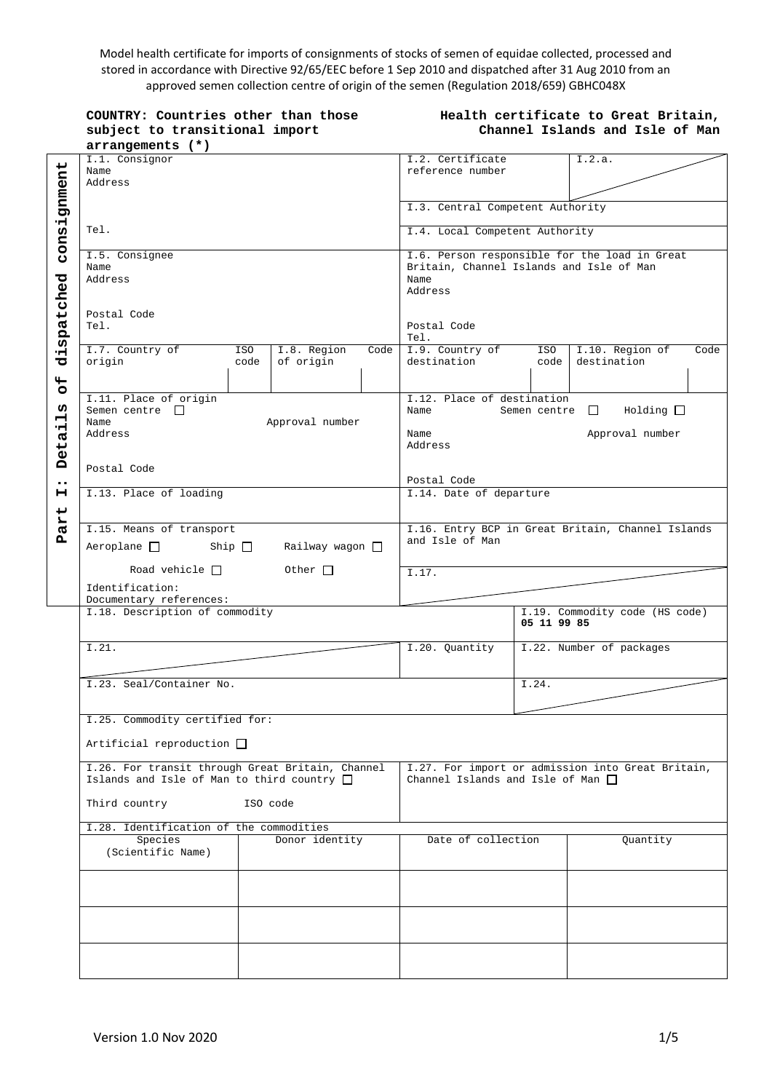Model health certificate for imports of consignments of stocks of semen of equidae collected, processed and stored in accordance with Directive 92/65/EEC before 1 Sep 2010 and dispatched after 31 Aug 2010 from an approved semen collection centre of origin of the semen (Regulation 2018/659) GBHC048X

| COUNTRY: Countries other than those |
|-------------------------------------|
| subject to transitional import      |
| $arrangements$ $(*)$                |

### **Health certificate to Great Britain, Channel Islands and Isle of Man**

|                  | I.1. Consignor                                   |          |                      |                                | I.2. Certificate                                  |                     | I.2.a.                                            |      |
|------------------|--------------------------------------------------|----------|----------------------|--------------------------------|---------------------------------------------------|---------------------|---------------------------------------------------|------|
|                  | Name                                             |          |                      |                                | reference number                                  |                     |                                                   |      |
|                  | Address                                          |          |                      |                                |                                                   |                     |                                                   |      |
|                  |                                                  |          |                      |                                |                                                   |                     |                                                   |      |
|                  |                                                  |          |                      |                                |                                                   |                     |                                                   |      |
| consignment      |                                                  |          |                      |                                | I.3. Central Competent Authority                  |                     |                                                   |      |
|                  |                                                  |          |                      |                                |                                                   |                     |                                                   |      |
|                  | Tel.                                             |          |                      | I.4. Local Competent Authority |                                                   |                     |                                                   |      |
|                  |                                                  |          |                      |                                |                                                   |                     |                                                   |      |
|                  |                                                  |          |                      |                                |                                                   |                     |                                                   |      |
|                  | I.5. Consignee                                   |          |                      |                                |                                                   |                     | I.6. Person responsible for the load in Great     |      |
|                  | Name                                             |          |                      |                                | Britain, Channel Islands and Isle of Man          |                     |                                                   |      |
|                  | Address                                          |          |                      |                                | Name                                              |                     |                                                   |      |
|                  |                                                  |          |                      |                                | Address                                           |                     |                                                   |      |
|                  |                                                  |          |                      |                                |                                                   |                     |                                                   |      |
|                  | Postal Code                                      |          |                      |                                |                                                   |                     |                                                   |      |
|                  | Tel.                                             |          |                      |                                | Postal Code                                       |                     |                                                   |      |
| dispatched       |                                                  |          |                      |                                |                                                   |                     |                                                   |      |
|                  |                                                  |          |                      |                                | Tel.                                              |                     |                                                   |      |
|                  | I.7. Country of                                  | ISO      | I.8. Region          | Code                           | I.9. Country of                                   | ISO                 | I.10. Region of                                   | Code |
|                  | origin                                           | code     | of origin            |                                | destination                                       | code                | destination                                       |      |
|                  |                                                  |          |                      |                                |                                                   |                     |                                                   |      |
|                  |                                                  |          |                      |                                |                                                   |                     |                                                   |      |
| $\frac{4}{5}$    |                                                  |          |                      |                                |                                                   |                     |                                                   |      |
|                  | I.11. Place of origin                            |          |                      |                                | I.12. Place of destination                        |                     |                                                   |      |
| W)               | Semen centre $\Box$                              |          |                      |                                | Name                                              | Semen centre $\Box$ | Holding                                           |      |
| Ĥ                | Name                                             |          | Approval number      |                                |                                                   |                     |                                                   |      |
|                  | Address                                          |          |                      |                                | Name                                              |                     | Approval number                                   |      |
|                  |                                                  |          |                      |                                | Address                                           |                     |                                                   |      |
| Detai            |                                                  |          |                      |                                |                                                   |                     |                                                   |      |
|                  |                                                  |          |                      |                                |                                                   |                     |                                                   |      |
|                  | Postal Code                                      |          |                      |                                |                                                   |                     |                                                   |      |
| $\bullet\bullet$ |                                                  |          |                      |                                | Postal Code                                       |                     |                                                   |      |
| н                | I.13. Place of loading                           |          |                      |                                | I.14. Date of departure                           |                     |                                                   |      |
|                  |                                                  |          |                      |                                |                                                   |                     |                                                   |      |
| Part             |                                                  |          |                      |                                |                                                   |                     |                                                   |      |
|                  |                                                  |          |                      |                                |                                                   |                     |                                                   |      |
|                  | I.15. Means of transport                         |          |                      |                                | I.16. Entry BCP in Great Britain, Channel Islands |                     |                                                   |      |
|                  |                                                  |          | Railway wagon $\Box$ |                                | and Isle of Man                                   |                     |                                                   |      |
|                  |                                                  |          |                      |                                |                                                   |                     |                                                   |      |
|                  |                                                  |          |                      |                                |                                                   |                     |                                                   |      |
|                  |                                                  |          |                      |                                |                                                   |                     |                                                   |      |
|                  | Road vehicle $\Box$                              |          | Other $\Box$         |                                | $\overline{1.17}$ .                               |                     |                                                   |      |
|                  |                                                  |          |                      |                                |                                                   |                     |                                                   |      |
|                  | Identification:                                  |          |                      |                                |                                                   |                     |                                                   |      |
|                  | Documentary references:                          |          |                      |                                |                                                   |                     |                                                   |      |
|                  | I.18. Description of commodity                   |          |                      |                                |                                                   |                     | I.19. Commodity code (HS code)                    |      |
|                  |                                                  |          |                      |                                |                                                   | 05 11 99 85         |                                                   |      |
|                  |                                                  |          |                      |                                |                                                   |                     |                                                   |      |
|                  | I.21.                                            |          |                      |                                |                                                   |                     |                                                   |      |
|                  |                                                  |          |                      |                                | I.20. Quantity                                    |                     | I.22. Number of packages                          |      |
|                  |                                                  |          |                      |                                |                                                   |                     |                                                   |      |
|                  |                                                  |          |                      |                                |                                                   |                     |                                                   |      |
|                  | I.23. Seal/Container No.                         |          |                      |                                |                                                   | I.24.               |                                                   |      |
|                  |                                                  |          |                      |                                |                                                   |                     |                                                   |      |
|                  |                                                  |          |                      |                                |                                                   |                     |                                                   |      |
|                  |                                                  |          |                      |                                |                                                   |                     |                                                   |      |
|                  | I.25. Commodity certified for:                   |          |                      |                                |                                                   |                     |                                                   |      |
|                  |                                                  |          |                      |                                |                                                   |                     |                                                   |      |
|                  | Artificial reproduction $\Box$                   |          |                      |                                |                                                   |                     |                                                   |      |
|                  |                                                  |          |                      |                                |                                                   |                     |                                                   |      |
|                  | I.26. For transit through Great Britain, Channel |          |                      |                                |                                                   |                     | I.27. For import or admission into Great Britain, |      |
|                  | Islands and Isle of Man to third country $\Box$  |          |                      |                                | Channel Islands and Isle of Man $\Box$            |                     |                                                   |      |
|                  |                                                  |          |                      |                                |                                                   |                     |                                                   |      |
|                  |                                                  |          |                      |                                |                                                   |                     |                                                   |      |
|                  | Third country                                    | ISO code |                      |                                |                                                   |                     |                                                   |      |
|                  |                                                  |          |                      |                                |                                                   |                     |                                                   |      |
|                  | I.28. Identification of the commodities          |          |                      |                                |                                                   |                     |                                                   |      |
|                  | Species                                          |          | Donor identity       |                                | Date of collection                                |                     | Quantity                                          |      |
|                  | (Scientific Name)                                |          |                      |                                |                                                   |                     |                                                   |      |
|                  |                                                  |          |                      |                                |                                                   |                     |                                                   |      |
|                  |                                                  |          |                      |                                |                                                   |                     |                                                   |      |
|                  |                                                  |          |                      |                                |                                                   |                     |                                                   |      |
|                  |                                                  |          |                      |                                |                                                   |                     |                                                   |      |
|                  |                                                  |          |                      |                                |                                                   |                     |                                                   |      |
|                  |                                                  |          |                      |                                |                                                   |                     |                                                   |      |
|                  |                                                  |          |                      |                                |                                                   |                     |                                                   |      |
|                  |                                                  |          |                      |                                |                                                   |                     |                                                   |      |
|                  |                                                  |          |                      |                                |                                                   |                     |                                                   |      |
|                  |                                                  |          |                      |                                |                                                   |                     |                                                   |      |
|                  |                                                  |          |                      |                                |                                                   |                     |                                                   |      |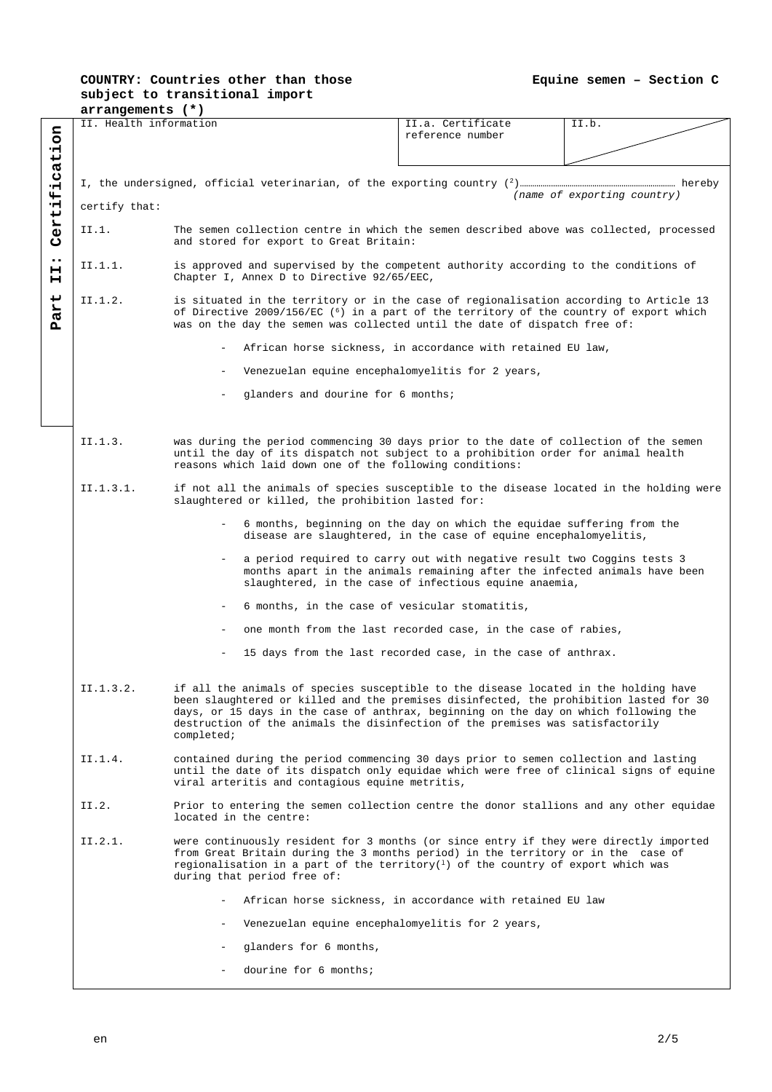# **COUNTRY: Countries other than those subject to transitional import**

**arrangements (\*)** II. Health information **II.a.** Certificate II.b. Certification **Part II: Certification** reference number I, the undersigned, official veterinarian, of the exporting country (2)………………………………………………………………… hereby  *(name of exporting country)* certify that: II.1. The semen collection centre in which the semen described above was collected, processed and stored for export to Great Britain:  $\ddot{\phantom{a}}$ II.1.1. is approved and supervised by the competent authority according to the conditions of  $H$ Chapter I, Annex D to Directive 92/65/EEC, Part II.1.2. is situated in the territory or in the case of regionalisation according to Article 13 of Directive 2009/156/EC ( $^6$ ) in a part of the territory of the country of export which was on the day the semen was collected until the date of dispatch free of: African horse sickness, in accordance with retained EU law, Venezuelan equine encephalomyelitis for 2 years, - glanders and dourine for 6 months; II.1.3. was during the period commencing 30 days prior to the date of collection of the semen until the day of its dispatch not subject to a prohibition order for animal health reasons which laid down one of the following conditions: II.1.3.1. if not all the animals of species susceptible to the disease located in the holding were slaughtered or killed, the prohibition lasted for: - 6 months, beginning on the day on which the equidae suffering from the disease are slaughtered, in the case of equine encephalomyelitis, a period required to carry out with negative result two Coggins tests 3 months apart in the animals remaining after the infected animals have been slaughtered, in the case of infectious equine anaemia, - 6 months, in the case of vesicular stomatitis, one month from the last recorded case, in the case of rabies, 15 days from the last recorded case, in the case of anthrax. II.1.3.2. if all the animals of species susceptible to the disease located in the holding have been slaughtered or killed and the premises disinfected, the prohibition lasted for 30 days, or 15 days in the case of anthrax, beginning on the day on which following the destruction of the animals the disinfection of the premises was satisfactorily completed; II.1.4. contained during the period commencing 30 days prior to semen collection and lasting until the date of its dispatch only equidae which were free of clinical signs of equine viral arteritis and contagious equine metritis, II.2. Prior to entering the semen collection centre the donor stallions and any other equidae located in the centre: II.2.1. were continuously resident for 3 months (or since entry if they were directly imported from Great Britain during the 3 months period) in the territory or in the case of regionalisation in a part of the territory( $^1$ ) of the country of export which was during that period free of: - African horse sickness, in accordance with retained EU law Venezuelan equine encephalomyelitis for 2 years, - glanders for 6 months, dourine for 6 months;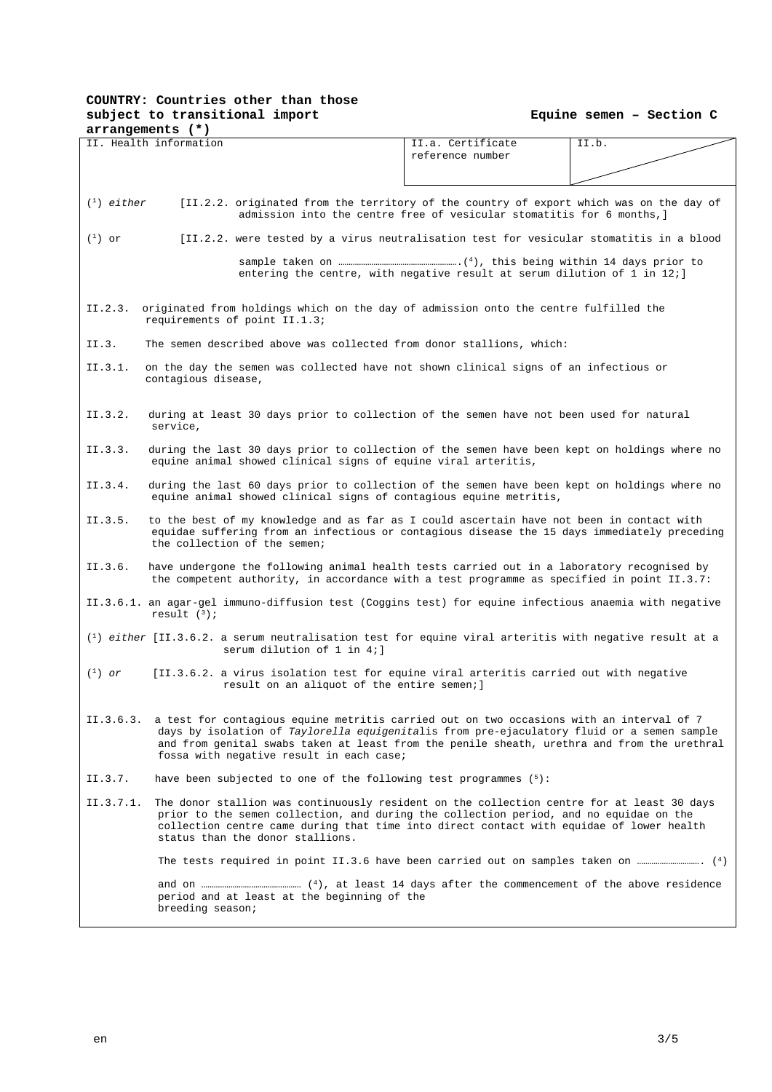# **COUNTRY: Countries other than those subject to transitional import**

 **Equine semen – Section C** 

|              | arrangements (*)                                                                                                                                                                                                                                                                                                                            |                                                                               |       |
|--------------|---------------------------------------------------------------------------------------------------------------------------------------------------------------------------------------------------------------------------------------------------------------------------------------------------------------------------------------------|-------------------------------------------------------------------------------|-------|
|              | II. Health information                                                                                                                                                                                                                                                                                                                      | II.a. Certificate                                                             | II.b. |
|              |                                                                                                                                                                                                                                                                                                                                             | reference number                                                              |       |
|              |                                                                                                                                                                                                                                                                                                                                             |                                                                               |       |
|              |                                                                                                                                                                                                                                                                                                                                             |                                                                               |       |
| $(1)$ either | [II.2.2. originated from the territory of the country of export which was on the day of                                                                                                                                                                                                                                                     | admission into the centre free of vesicular stomatitis for 6 months, ]        |       |
| $(^1)$ or    | [II.2.2. were tested by a virus neutralisation test for vesicular stomatitis in a blood                                                                                                                                                                                                                                                     |                                                                               |       |
|              |                                                                                                                                                                                                                                                                                                                                             | entering the centre, with negative result at serum dilution of $1$ in $12i$ ] |       |
| II.2.3.      | originated from holdings which on the day of admission onto the centre fulfilled the<br>requirements of point II.1.3;                                                                                                                                                                                                                       |                                                                               |       |
| II.3.        | The semen described above was collected from donor stallions, which:                                                                                                                                                                                                                                                                        |                                                                               |       |
| II.3.1.      | on the day the semen was collected have not shown clinical signs of an infectious or<br>contagious disease,                                                                                                                                                                                                                                 |                                                                               |       |
| II.3.2.      | during at least 30 days prior to collection of the semen have not been used for natural<br>service,                                                                                                                                                                                                                                         |                                                                               |       |
| II.3.3.      | during the last 30 days prior to collection of the semen have been kept on holdings where no<br>equine animal showed clinical signs of equine viral arteritis,                                                                                                                                                                              |                                                                               |       |
| II.3.4.      | during the last 60 days prior to collection of the semen have been kept on holdings where no<br>equine animal showed clinical signs of contagious equine metritis,                                                                                                                                                                          |                                                                               |       |
| II.3.5.      | to the best of my knowledge and as far as I could ascertain have not been in contact with<br>equidae suffering from an infectious or contagious disease the 15 days immediately preceding<br>the collection of the semen;                                                                                                                   |                                                                               |       |
| II.3.6.      | have undergone the following animal health tests carried out in a laboratory recognised by<br>the competent authority, in accordance with a test programme as specified in point II.3.7:                                                                                                                                                    |                                                                               |       |
|              | II.3.6.1. an agar-gel immuno-diffusion test (Coggins test) for equine infectious anaemia with negative<br>result $(3)$ ;                                                                                                                                                                                                                    |                                                                               |       |
|              | $(1)$ either [II.3.6.2. a serum neutralisation test for equine viral arteritis with negative result at a<br>serum dilution of 1 in 4;]                                                                                                                                                                                                      |                                                                               |       |
| $(1)$ or     | [II.3.6.2. a virus isolation test for equine viral arteritis carried out with negative<br>result on an aliquot of the entire semen; ]                                                                                                                                                                                                       |                                                                               |       |
|              | II.3.6.3. a test for contagious equine metritis carried out on two occasions with an interval of 7<br>days by isolation of Taylorella equigenitalis from pre-ejaculatory fluid or a semen sample<br>and from genital swabs taken at least from the penile sheath, urethra and from the urethral<br>fossa with negative result in each case; |                                                                               |       |
| II.3.7.      | have been subjected to one of the following test programmes $(5)$ :                                                                                                                                                                                                                                                                         |                                                                               |       |
| II.3.7.1.    | The donor stallion was continuously resident on the collection centre for at least 30 days<br>prior to the semen collection, and during the collection period, and no equidae on the<br>collection centre came during that time into direct contact with equidae of lower health<br>status than the donor stallions.                        |                                                                               |       |
|              |                                                                                                                                                                                                                                                                                                                                             |                                                                               |       |
|              | period and at least at the beginning of the<br>breeding season;                                                                                                                                                                                                                                                                             |                                                                               |       |
|              |                                                                                                                                                                                                                                                                                                                                             |                                                                               |       |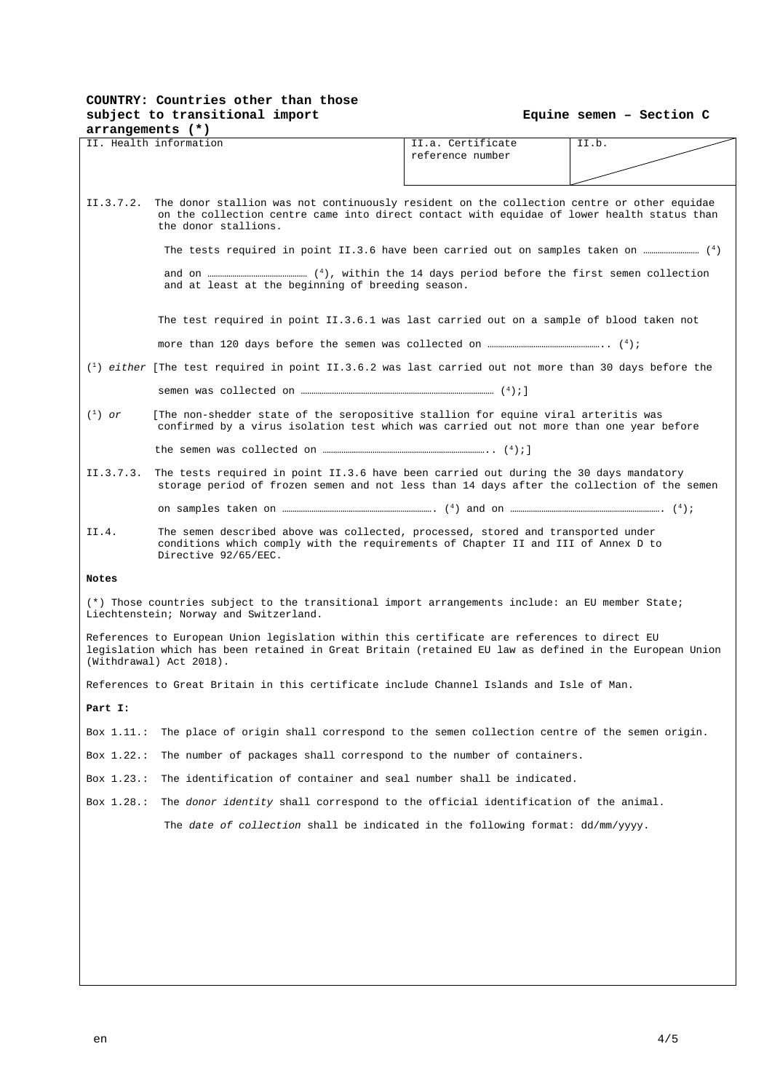# **COUNTRY: Countries other than those subject to transitional import**

|  |  |  | Equine semen - Section C |  |  |
|--|--|--|--------------------------|--|--|
|--|--|--|--------------------------|--|--|

| arrangements (*) |                                                                                                                                                                                                                                   |                   |       |  |  |
|------------------|-----------------------------------------------------------------------------------------------------------------------------------------------------------------------------------------------------------------------------------|-------------------|-------|--|--|
|                  | II. Health information                                                                                                                                                                                                            | II.a. Certificate | II.b. |  |  |
|                  |                                                                                                                                                                                                                                   | reference number  |       |  |  |
|                  |                                                                                                                                                                                                                                   |                   |       |  |  |
|                  |                                                                                                                                                                                                                                   |                   |       |  |  |
| II.3.7.2.        | The donor stallion was not continuously resident on the collection centre or other equidae<br>on the collection centre came into direct contact with equidae of lower health status than<br>the donor stallions.                  |                   |       |  |  |
|                  |                                                                                                                                                                                                                                   |                   |       |  |  |
|                  | and at least at the beginning of breeding season.                                                                                                                                                                                 |                   |       |  |  |
|                  | The test required in point II.3.6.1 was last carried out on a sample of blood taken not                                                                                                                                           |                   |       |  |  |
|                  |                                                                                                                                                                                                                                   |                   |       |  |  |
|                  | $\binom{1}{1}$ either [The test required in point II.3.6.2 was last carried out not more than 30 days before the                                                                                                                  |                   |       |  |  |
|                  |                                                                                                                                                                                                                                   |                   |       |  |  |
| $(1)$ or         | [The non-shedder state of the seropositive stallion for equine viral arteritis was<br>confirmed by a virus isolation test which was carried out not more than one year before                                                     |                   |       |  |  |
|                  |                                                                                                                                                                                                                                   |                   |       |  |  |
| II.3.7.3.        | The tests required in point II.3.6 have been carried out during the 30 days mandatory<br>storage period of frozen semen and not less than 14 days after the collection of the semen                                               |                   |       |  |  |
|                  |                                                                                                                                                                                                                                   |                   |       |  |  |
| II.4.            | The semen described above was collected, processed, stored and transported under<br>conditions which comply with the requirements of Chapter II and III of Annex D to<br>Directive 92/65/EEC.                                     |                   |       |  |  |
| Notes            |                                                                                                                                                                                                                                   |                   |       |  |  |
|                  | (*) Those countries subject to the transitional import arrangements include: an EU member State;<br>Liechtenstein; Norway and Switzerland.                                                                                        |                   |       |  |  |
|                  | References to European Union legislation within this certificate are references to direct EU<br>legislation which has been retained in Great Britain (retained EU law as defined in the European Union<br>(Withdrawal) Act 2018). |                   |       |  |  |
|                  | References to Great Britain in this certificate include Channel Islands and Isle of Man.                                                                                                                                          |                   |       |  |  |
| Part I:          |                                                                                                                                                                                                                                   |                   |       |  |  |
| Box $1.11$ .:    | The place of origin shall correspond to the semen collection centre of the semen origin.                                                                                                                                          |                   |       |  |  |
| Box 1.22.:       | The number of packages shall correspond to the number of containers.                                                                                                                                                              |                   |       |  |  |
| Box $1.23$ .:    | The identification of container and seal number shall be indicated.                                                                                                                                                               |                   |       |  |  |
| Box 1.28.:       | The donor identity shall correspond to the official identification of the animal.                                                                                                                                                 |                   |       |  |  |
|                  | The date of collection shall be indicated in the following format: dd/mm/yyyy.                                                                                                                                                    |                   |       |  |  |
|                  |                                                                                                                                                                                                                                   |                   |       |  |  |
|                  |                                                                                                                                                                                                                                   |                   |       |  |  |
|                  |                                                                                                                                                                                                                                   |                   |       |  |  |
|                  |                                                                                                                                                                                                                                   |                   |       |  |  |
|                  |                                                                                                                                                                                                                                   |                   |       |  |  |
|                  |                                                                                                                                                                                                                                   |                   |       |  |  |